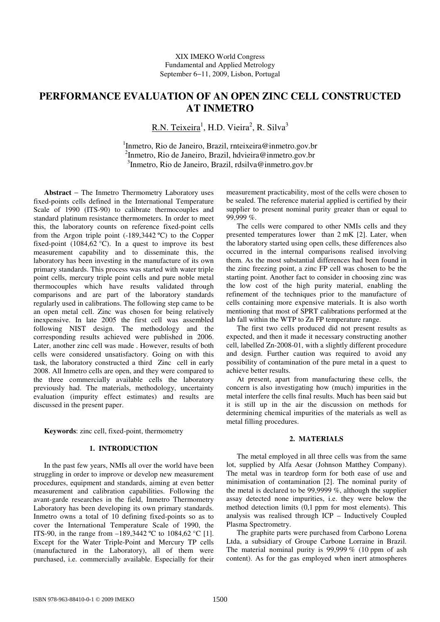# **PERFORMANCE EVALUATION OF AN OPEN ZINC CELL CONSTRUCTED AT INMETRO**

R.N. Teixeira<sup>1</sup>, H.D. Vieira<sup>2</sup>, R. Silva<sup>3</sup>

1 Inmetro, Rio de Janeiro, Brazil, rnteixeira@inmetro.gov.br 2 Inmetro, Rio de Janeiro, Brazil, hdvieira@inmetro.gov.br 3 Inmetro, Rio de Janeiro, Brazil, rdsilva@inmetro.gov.br

**Abstract** − The Inmetro Thermometry Laboratory uses fixed-points cells defined in the International Temperature Scale of 1990 (ITS-90) to calibrate thermocouples and standard platinum resistance thermometers. In order to meet this, the laboratory counts on reference fixed-point cells from the Argon triple point  $(-189,3442 \degree C)$  to the Copper fixed-point (1084,62  $^{\circ}$ C). In a quest to improve its best measurement capability and to disseminate this, the laboratory has been investing in the manufacture of its own primary standards. This process was started with water triple point cells, mercury triple point cells and pure noble metal thermocouples which have results validated through comparisons and are part of the laboratory standards regularly used in calibrations. The following step came to be an open metal cell. Zinc was chosen for being relatively inexpensive. In late 2005 the first cell was assembled following NIST design. The methodology and the corresponding results achieved were published in 2006. Later, another zinc cell was made . However, results of both cells were considered unsatisfactory. Going on with this task, the laboratory constructed a third Zinc cell in early 2008. All Inmetro cells are open, and they were compared to the three commercially available cells the laboratory previously had. The materials, methodology, uncertainty evaluation (impurity effect estimates) and results are discussed in the present paper.

**Keywords**: zinc cell, fixed-point, thermometry

# **1. INTRODUCTION**

In the past few years, NMIs all over the world have been struggling in order to improve or develop new measurement procedures, equipment and standards, aiming at even better measurement and calibration capabilities. Following the avant-garde researches in the field, Inmetro Thermometry Laboratory has been developing its own primary standards. Inmetro owns a total of 10 defining fixed-points so as to cover the International Temperature Scale of 1990, the ITS-90, in the range from –189,3442 ºC to 1084,62 °C [1]. Except for the Water Triple-Point and Mercury TP cells (manufactured in the Laboratory), all of them were purchased, i.e. commercially available. Especially for their

measurement practicability, most of the cells were chosen to be sealed. The reference material applied is certified by their supplier to present nominal purity greater than or equal to  $99.999\%$ .

The cells were compared to other NMIs cells and they presented temperatures lower than 2 mK [2]. Later, when the laboratory started using open cells, these differences also occurred in the internal comparisons realised involving them. As the most substantial differences had been found in the zinc freezing point, a zinc FP cell was chosen to be the starting point. Another fact to consider in choosing zinc was the low cost of the high purity material, enabling the refinement of the techniques prior to the manufacture of cells containing more expensive materials. It is also worth mentioning that most of SPRT calibrations performed at the lab fall within the WTP to Zn FP temperature range.

The first two cells produced did not present results as expected, and then it made it necessary constructing another cell, labelled Zn-2008-01, with a slightly different procedure and design. Further caution was required to avoid any possibility of contamination of the pure metal in a quest to achieve better results.

At present, apart from manufacturing these cells, the concern is also investigating how (much) impurities in the metal interfere the cells final results. Much has been said but it is still up in the air the discussion on methods for determining chemical impurities of the materials as well as metal filling procedures.

#### **2. MATERIALS**

The metal employed in all three cells was from the same lot, supplied by Alfa Aesar (Johnson Matthey Company). The metal was in teardrop form for both ease of use and minimisation of contamination [2]. The nominal purity of the metal is declared to be 99,9999 %, although the supplier assay detected none impurities, i.e. they were below the method detection limits (0,1 ppm for most elements). This analysis was realised through ICP – Inductively Coupled Plasma Spectrometry.

The graphite parts were purchased from Carbono Lorena Ltda, a subsidiary of Groupe Carbone Lorraine in Brazil. The material nominal purity is 99,999  $%$  (10 ppm of ash content). As for the gas employed when inert atmospheres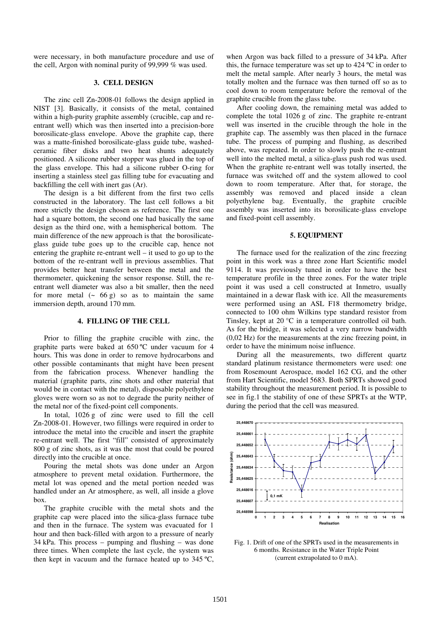were necessary, in both manufacture procedure and use of the cell, Argon with nominal purity of 99,999 % was used.

## **3. CELL DESIGN**

The zinc cell Zn-2008-01 follows the design applied in NIST [3]. Basically, it consists of the metal, contained within a high-purity graphite assembly (crucible, cap and reentrant well) which was then inserted into a precision-bore borosilicate-glass envelope. Above the graphite cap, there was a matte-finished borosilicate-glass guide tube, washedceramic fiber disks and two heat shunts adequately positioned. A silicone rubber stopper was glued in the top of the glass envelope. This had a silicone rubber O-ring for inserting a stainless steel gas filling tube for evacuating and backfilling the cell with inert gas (Ar).

The design is a bit different from the first two cells constructed in the laboratory. The last cell follows a bit more strictly the design chosen as reference. The first one had a square bottom, the second one had basically the same design as the third one, with a hemispherical bottom. The main difference of the new approach is that the borosilicateglass guide tube goes up to the crucible cap, hence not entering the graphite re-entrant well – it used to go up to the bottom of the re-entrant well in previous assemblies. That provides better heat transfer between the metal and the thermometer, quickening the sensor response. Still, the reentrant well diameter was also a bit smaller, then the need for more metal  $(2, 66 \text{ g})$  so as to maintain the same immersion depth, around 170 mm.

#### **4. FILLING OF THE CELL**

Prior to filling the graphite crucible with zinc, the graphite parts were baked at 650 ºC under vacuum for 4 hours. This was done in order to remove hydrocarbons and other possible contaminants that might have been present from the fabrication process. Whenever handling the material (graphite parts, zinc shots and other material that would be in contact with the metal), disposable polyethylene gloves were worn so as not to degrade the purity neither of the metal nor of the fixed-point cell components.

In total, 1026 g of zinc were used to fill the cell Zn-2008-01. However, two fillings were required in order to introduce the metal into the crucible and insert the graphite re-entrant well. The first "fill" consisted of approximately 800 g of zinc shots, as it was the most that could be poured directly into the crucible at once.

Pouring the metal shots was done under an Argon atmosphere to prevent metal oxidation. Furthermore, the metal lot was opened and the metal portion needed was handled under an Ar atmosphere, as well, all inside a glove box.

The graphite crucible with the metal shots and the graphite cap were placed into the silica-glass furnace tube and then in the furnace. The system was evacuated for 1 hour and then back-filled with argon to a pressure of nearly 34 kPa. This process – pumping and flushing – was done three times. When complete the last cycle, the system was then kept in vacuum and the furnace heated up to  $345^{\circ}$ C,

when Argon was back filled to a pressure of 34 kPa. After this, the furnace temperature was set up to 424 ºC in order to melt the metal sample. After nearly 3 hours, the metal was totally molten and the furnace was then turned off so as to cool down to room temperature before the removal of the graphite crucible from the glass tube.

After cooling down, the remaining metal was added to complete the total 1026 g of zinc. The graphite re-entrant well was inserted in the crucible through the hole in the graphite cap. The assembly was then placed in the furnace tube. The process of pumping and flushing, as described above, was repeated. In order to slowly push the re-entrant well into the melted metal, a silica-glass push rod was used. When the graphite re-entrant well was totally inserted, the furnace was switched off and the system allowed to cool down to room temperature. After that, for storage, the assembly was removed and placed inside a clean polyethylene bag. Eventually, the graphite crucible assembly was inserted into its borosilicate-glass envelope and fixed-point cell assembly.

#### **5. EQUIPMENT**

The furnace used for the realization of the zinc freezing point in this work was a three zone Hart Scientific model 9114. It was previously tuned in order to have the best temperature profile in the three zones. For the water triple point it was used a cell constructed at Inmetro, usually maintained in a dewar flask with ice. All the measurements were performed using an ASL F18 thermometry bridge, connected to 100 ohm Wilkins type standard resistor from Tinsley, kept at 20 °C in a temperature controlled oil bath. As for the bridge, it was selected a very narrow bandwidth (0,02 Hz) for the measurements at the zinc freezing point, in order to have the minimum noise influence.

During all the measurements, two different quartz standard platinum resistance thermometers were used: one from Rosemount Aerospace, model 162 CG, and the other from Hart Scientific, model 5683. Both SPRTs showed good stability throughout the measurement period. It is possible to see in fig.1 the stability of one of these SPRTs at the WTP, during the period that the cell was measured.



Fig. 1. Drift of one of the SPRTs used in the measurements in 6 months. Resistance in the Water Triple Point (current extrapolated to 0 mA).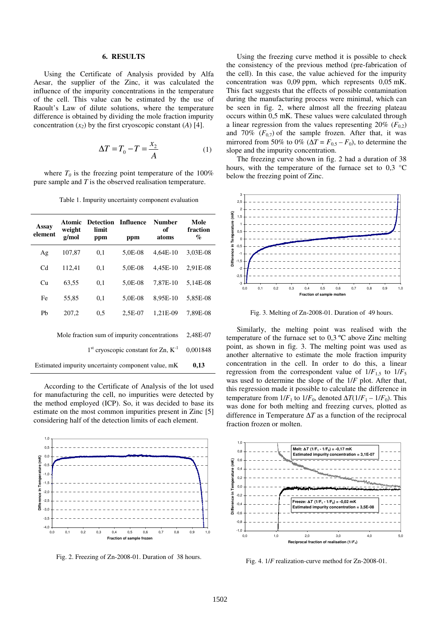## **6. RESULTS**

Using the Certificate of Analysis provided by Alfa Aesar, the supplier of the Zinc, it was calculated the influence of the impurity concentrations in the temperature of the cell. This value can be estimated by the use of Raoult's Law of dilute solutions, where the temperature difference is obtained by dividing the mole fraction impurity concentration  $(x_2)$  by the first cryoscopic constant  $(A)$  [4].

$$
\Delta T = T_0 - T = \frac{x_2}{A} \tag{1}
$$

where  $T_0$  is the freezing point temperature of the 100% pure sample and *T* is the observed realisation temperature.

Table 1. Impurity uncertainty component evaluation

| Assay<br>element                                   | weight<br>g/mol      | <b>Atomic Detection Influence</b><br>limit<br>ppm | ppm     | <b>Number</b><br>оf<br>atoms | Mole<br>fraction<br>$\%$ |
|----------------------------------------------------|----------------------|---------------------------------------------------|---------|------------------------------|--------------------------|
| Ag                                                 | 107,87               | 0,1                                               | 5,0E-08 | 4,64E-10                     | 3,03E-08                 |
| C <sub>d</sub>                                     | 112,41               | 0,1                                               | 5,0E-08 | 4,45E-10                     | 2,91E-08                 |
| Cu                                                 | 63,55                | 0,1                                               | 5,0E-08 | 7,87E-10                     | 5,14E-08                 |
| Fe                                                 | 55,85                | 0,1                                               | 5,0E-08 | 8,95E-10                     | 5,85E-08                 |
| Pb                                                 | 207,2                | 0,5                                               | 2,5E-07 | 1,21E-09                     | 7,89E-08                 |
| Mole fraction sum of impurity concentrations       | 2,48E-07<br>0.001848 |                                                   |         |                              |                          |
|                                                    |                      |                                                   |         |                              |                          |
| Estimated impurity uncertainty component value, mK | 0,13                 |                                                   |         |                              |                          |

According to the Certificate of Analysis of the lot used for manufacturing the cell, no impurities were detected by the method employed (ICP). So, it was decided to base its estimate on the most common impurities present in Zinc [5] considering half of the detection limits of each element.



Fig. 2. Freezing of Zn-2008-01. Duration of 38 hours.

Using the freezing curve method it is possible to check the consistency of the previous method (pre-fabrication of the cell). In this case, the value achieved for the impurity concentration was 0,09 ppm, which represents 0,05 mK. This fact suggests that the effects of possible contamination during the manufacturing process were minimal, which can be seen in fig. 2, where almost all the freezing plateau occurs within 0,5 mK. These values were calculated through a linear regression from the values representing  $20\%$  ( $F_{0,2}$ ) and 70%  $(F_{0,7})$  of the sample frozen. After that, it was mirrored from 50% to 0% ( $\Delta T = F_{0.5} - F_0$ ), to determine the slope and the impurity concentration.

The freezing curve shown in fig. 2 had a duration of 38 hours, with the temperature of the furnace set to  $0.3 \text{ °C}$ below the freezing point of Zinc.



Fig. 3. Melting of Zn-2008-01. Duration of 49 hours.

Similarly, the melting point was realised with the temperature of the furnace set to 0,3 ºC above Zinc melting point, as shown in fig. 3. The melting point was used as another alternative to estimate the mole fraction impurity concentration in the cell. In order to do this, a linear regression from the correspondent value of  $1/F_{1.5}$  to  $1/F_5$ was used to determine the slope of the 1/*F* plot. After that, this regression made it possible to calculate the difference in temperature from  $1/F_1$  to  $1/F_0$ , denoted  $\Delta T(1/F_1 - 1/F_0)$ . This was done for both melting and freezing curves, plotted as difference in Temperature ∆*T* as a function of the reciprocal fraction frozen or molten.



Fig. 4. 1/*F* realization-curve method for Zn-2008-01.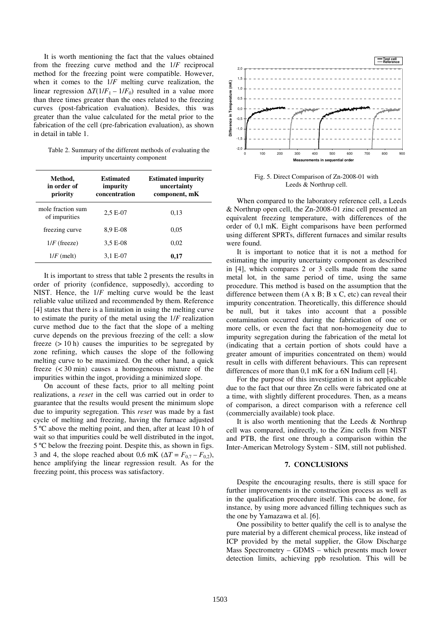It is worth mentioning the fact that the values obtained from the freezing curve method and the 1/*F* reciprocal method for the freezing point were compatible. However, when it comes to the 1/*F* melting curve realization, the linear regression  $\Delta T(1/F_1 - 1/F_0)$  resulted in a value more than three times greater than the ones related to the freezing curves (post-fabrication evaluation). Besides, this was greater than the value calculated for the metal prior to the fabrication of the cell (pre-fabrication evaluation), as shown in detail in table 1.

Table 2. Summary of the different methods of evaluating the impurity uncertainty component

| Method,<br>in order of<br>priority | Estimated<br>impurity<br>concentration | <b>Estimated impurity</b><br>uncertainty<br>component, mK |  |
|------------------------------------|----------------------------------------|-----------------------------------------------------------|--|
| mole fraction sum<br>of impurities | $2.5E-07$                              | 0.13                                                      |  |
| freezing curve                     | 8,9 E-08                               | 0.05                                                      |  |
| $1/F$ (freeze)                     | $3.5E-08$                              | 0,02                                                      |  |
| $1/F$ (melt)                       | 3,1 E-07                               | 0,17                                                      |  |

It is important to stress that table 2 presents the results in order of priority (confidence, supposedly), according to NIST. Hence, the 1/*F* melting curve would be the least reliable value utilized and recommended by them. Reference [4] states that there is a limitation in using the melting curve to estimate the purity of the metal using the 1/*F* realization curve method due to the fact that the slope of a melting curve depends on the previous freezing of the cell: a slow freeze  $(> 10 h)$  causes the impurities to be segregated by zone refining, which causes the slope of the following melting curve to be maximized. On the other hand, a quick freeze (< 30 min) causes a homogeneous mixture of the impurities within the ingot, providing a minimized slope.

On account of these facts, prior to all melting point realizations, a *reset* in the cell was carried out in order to guarantee that the results would present the minimum slope due to impurity segregation. This *reset* was made by a fast cycle of melting and freezing, having the furnace adjusted 5 ºC above the melting point, and then, after at least 10 h of wait so that impurities could be well distributed in the ingot, 5 ºC below the freezing point. Despite this, as shown in figs. 3 and 4, the slope reached about 0,6 mK ( $\Delta T = F_{0,7} - F_{0,2}$ ), hence amplifying the linear regression result. As for the freezing point, this process was satisfactory.



Fig. 5. Direct Comparison of Zn-2008-01 with Leeds & Northrup cell.

When compared to the laboratory reference cell, a Leeds & Northrup open cell, the Zn-2008-01 zinc cell presented an equivalent freezing temperature, with differences of the order of 0,1 mK. Eight comparisons have been performed using different SPRTs, different furnaces and similar results were found.

It is important to notice that it is not a method for estimating the impurity uncertainty component as described in [4], which compares 2 or 3 cells made from the same metal lot, in the same period of time, using the same procedure. This method is based on the assumption that the difference between them  $(A \times B; B \times C, etc)$  can reveal their impurity concentration. Theoretically, this difference should be null, but it takes into account that a possible contamination occurred during the fabrication of one or more cells, or even the fact that non-homogeneity due to impurity segregation during the fabrication of the metal lot (indicating that a certain portion of shots could have a greater amount of impurities concentrated on them) would result in cells with different behaviours. This can represent differences of more than 0,1 mK for a 6N Indium cell [4].

For the purpose of this investigation it is not applicable due to the fact that our three Zn cells were fabricated one at a time, with slightly different procedures. Then, as a means of comparison, a direct comparison with a reference cell (commercially available) took place.

It is also worth mentioning that the Leeds & Northrup cell was compared, indirectly, to the Zinc cells from NIST and PTB, the first one through a comparison within the Inter-American Metrology System - SIM, still not published.

# **7. CONCLUSIONS**

Despite the encouraging results, there is still space for further improvements in the construction process as well as in the qualification procedure itself. This can be done, for instance, by using more advanced filling techniques such as the one by Yamazawa et al. [6].

One possibility to better qualify the cell is to analyse the pure material by a different chemical process, like instead of ICP provided by the metal supplier, the Glow Discharge Mass Spectrometry – GDMS – which presents much lower detection limits, achieving ppb resolution. This will be